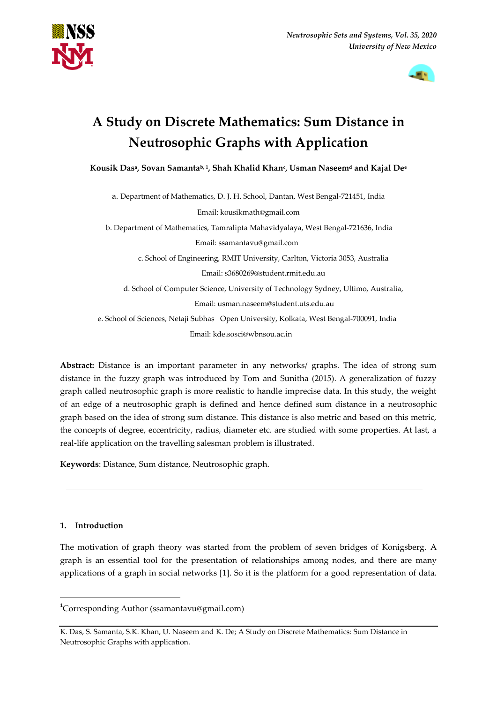



# **A Study on Discrete Mathematics: Sum Distance in Neutrosophic Graphs with Application**

**Kousik Das<sup>a</sup> , Sovan Samantab, <sup>1</sup> , Shah Khalid Khan<sup>c</sup> , Usman Naseem<sup>d</sup> and Kajal De<sup>e</sup>**

a. Department of Mathematics, D. J. H. School, Dantan, West Bengal-721451, India Email: kousikmath@gmail.com

b. Department of Mathematics, Tamralipta Mahavidyalaya, West Bengal-721636, India Email: ssamantavu@gmail.com

c. School of Engineering, RMIT University, Carlton, Victoria 3053, Australia

Email: s3680269@student.rmit.edu.au

d. School of Computer Science, University of Technology Sydney, Ultimo, Australia, Email: usman.naseem@student.uts.edu.au

 e. School of Sciences, Netaji Subhas Open University, Kolkata, West Bengal-700091, India Email: kde.sosci@wbnsou.ac.in

**Abstract:** Distance is an important parameter in any networks/ graphs. The idea of strong sum distance in the fuzzy graph was introduced by Tom and Sunitha (2015). A generalization of fuzzy graph called neutrosophic graph is more realistic to handle imprecise data. In this study, the weight of an edge of a neutrosophic graph is defined and hence defined sum distance in a neutrosophic graph based on the idea of strong sum distance. This distance is also metric and based on this metric, the concepts of degree, eccentricity, radius, diameter etc. are studied with some properties. At last, a real-life application on the travelling salesman problem is illustrated.

**Keywords**: Distance, Sum distance, Neutrosophic graph.

## **1. Introduction**

**.** 

The motivation of graph theory was started from the problem of seven bridges of Konigsberg. A graph is an essential tool for the presentation of relationships among nodes, and there are many applications of a graph in social networks [1]. So it is the platform for a good representation of data.

<sup>&</sup>lt;sup>1</sup>Corresponding Author (ssamantavu@gmail.com)

K. Das, S. Samanta, S.K. Khan, U. Naseem and K. De; A Study on Discrete Mathematics: Sum Distance in Neutrosophic Graphs with application.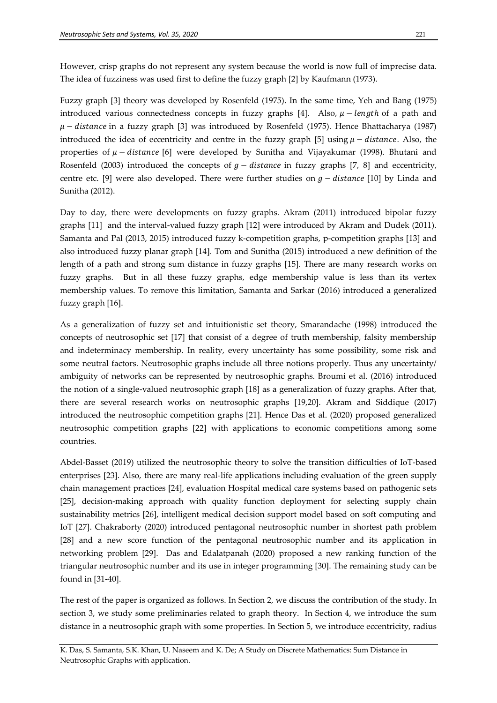However, crisp graphs do not represent any system because the world is now full of imprecise data. The idea of fuzziness was used first to define the fuzzy graph [2] by Kaufmann (1973).

Fuzzy graph [3] theory was developed by Rosenfeld (1975). In the same time, Yeh and Bang (1975) introduced various connectedness concepts in fuzzy graphs [4]. Also,  $\mu$  – length of a path and  $\mu$  – distance in a fuzzy graph [3] was introduced by Rosenfeld (1975). Hence Bhattacharya (1987) introduced the idea of eccentricity and centre in the fuzzy graph [5] using  $\mu$  – distance. Also, the properties of  $\mu$  – distance [6] were developed by Sunitha and Vijayakumar (1998). Bhutani and Rosenfeld (2003) introduced the concepts of  $g - distance$  in fuzzy graphs [7, 8] and eccentricity, centre etc. [9] were also developed. There were further studies on  $g - distance$  [10] by Linda and Sunitha (2012).

Day to day, there were developments on fuzzy graphs. Akram (2011) introduced bipolar fuzzy graphs [11] and the interval-valued fuzzy graph [12] were introduced by Akram and Dudek (2011). Samanta and Pal (2013, 2015) introduced fuzzy k-competition graphs, p-competition graphs [13] and also introduced fuzzy planar graph [14]. Tom and Sunitha (2015) introduced a new definition of the length of a path and strong sum distance in fuzzy graphs [15]. There are many research works on fuzzy graphs. But in all these fuzzy graphs, edge membership value is less than its vertex membership values. To remove this limitation, Samanta and Sarkar (2016) introduced a generalized fuzzy graph [16].

As a generalization of fuzzy set and intuitionistic set theory, Smarandache (1998) introduced the concepts of neutrosophic set [17] that consist of a degree of truth membership, falsity membership and indeterminacy membership. In reality, every uncertainty has some possibility, some risk and some neutral factors. Neutrosophic graphs include all three notions properly. Thus any uncertainty/ ambiguity of networks can be represented by neutrosophic graphs. Broumi et al. (2016) introduced the notion of a single-valued neutrosophic graph [18] as a generalization of fuzzy graphs. After that, there are several research works on neutrosophic graphs [19,20]. Akram and Siddique (2017) introduced the neutrosophic competition graphs [21]. Hence Das et al. (2020) proposed generalized neutrosophic competition graphs [22] with applications to economic competitions among some countries.

Abdel-Basset (2019) utilized the neutrosophic theory to solve the transition difficulties of IoT-based enterprises [23]. Also, there are many real-life applications including evaluation of the green supply chain management practices [24], evaluation Hospital medical care systems based on pathogenic sets [25], decision-making approach with quality function deployment for selecting supply chain sustainability metrics [26], intelligent medical decision support model based on soft computing and IoT [27]. Chakraborty (2020) introduced pentagonal neutrosophic number in shortest path problem [28] and a new score function of the pentagonal neutrosophic number and its application in networking problem [29]. Das and Edalatpanah (2020) proposed a new ranking function of the triangular neutrosophic number and its use in integer programming [30]. The remaining study can be found in [31-40].

The rest of the paper is organized as follows. In Section 2, we discuss the contribution of the study. In section 3, we study some preliminaries related to graph theory. In Section 4, we introduce the sum distance in a neutrosophic graph with some properties. In Section 5, we introduce eccentricity, radius

K. Das, S. Samanta, S.K. Khan, U. Naseem and K. De; A Study on Discrete Mathematics: Sum Distance in Neutrosophic Graphs with application.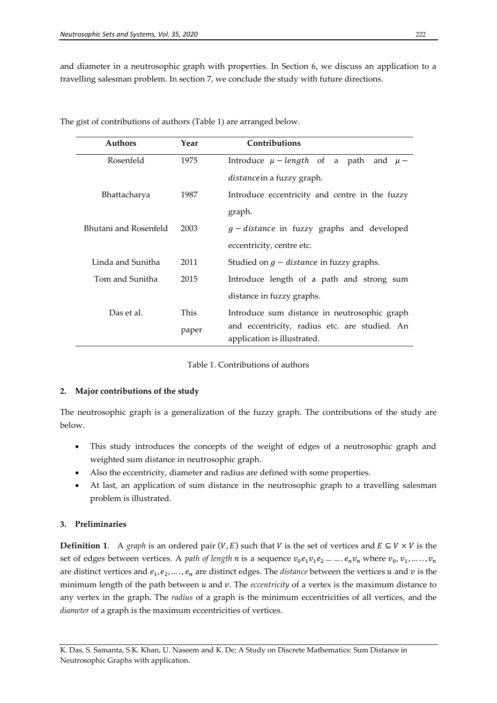and diameter in a neutrosophic graph with properties. In Section 6, we discuss an application to a travelling salesman problem. In section 7, we conclude the study with future directions.

| <b>Authors</b>        | Year  | Contributions                                     |
|-----------------------|-------|---------------------------------------------------|
| Rosenfeld             | 1975  | Introduce $\mu$ – length of a path<br>and $\mu$ – |
|                       |       | <i>distance</i> in a fuzzy graph.                 |
| Bhattacharya          | 1987  | Introduce eccentricity and centre in the fuzzy    |
|                       |       | graph.                                            |
| Bhutani and Rosenfeld | 2003  | $g$ – distance in fuzzy graphs and developed      |
|                       |       | eccentricity, centre etc.                         |
| Linda and Sunitha     | 2011  | Studied on $g$ – distance in fuzzy graphs.        |
| Tom and Sunitha       | 2015  | Introduce length of a path and strong sum         |
|                       |       | distance in fuzzy graphs.                         |
| Das et al.            | This  | Introduce sum distance in neutrosophic graph      |
|                       | paper | and eccentricity, radius etc. are studied. An     |
|                       |       | application is illustrated.                       |

The gist of contributions of authors (Table 1) are arranged below.

Table 1. Contributions of authors

## **2. Major contributions of the study**

The neutrosophic graph is a generalization of the fuzzy graph. The contributions of the study are below.

- This study introduces the concepts of the weight of edges of a neutrosophic graph and weighted sum distance in neutrosophic graph.
- Also the eccentricity, diameter and radius are defined with some properties.
- At last, an application of sum distance in the neutrosophic graph to a travelling salesman problem is illustrated.

## **3. Preliminaries**

**Definition 1.** A *graph* is an ordered pair  $(V, E)$  such that V is the set of vertices and  $E \subseteq V \times V$  is the set of edges between vertices. A *path of length n* is a sequence  $v_0e_1v_1e_2......e_nv_n$  where  $v_0$ ,  $v_1$ , are distinct vertices and  $e_1, e_2, \ldots, e_n$  are distinct edges. The *distance* between the vertices u and v is the minimum length of the path between  $u$  and  $v$ . The *eccentricity* of a vertex is the maximum distance to any vertex in the graph. The *radius* of a graph is the minimum eccentricities of all vertices, and the *diameter* of a graph is the maximum eccentricities of vertices.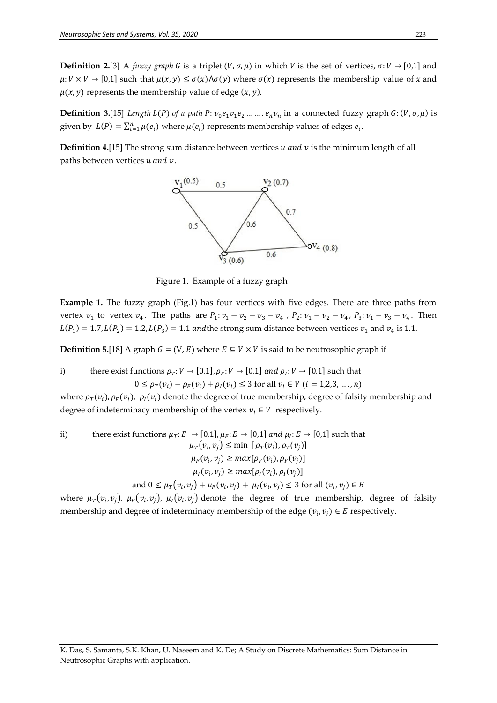**Definition 2.**[3] A *fuzzy graph* G is a triplet  $(V, \sigma, \mu)$  in which V is the set of vertices,  $\sigma: V \to [0,1]$  and  $\mu: V \times V \to [0,1]$  such that  $\mu(x, y) \leq \sigma(x) \wedge \sigma(y)$  where  $\sigma(x)$  represents the membership value of x and  $\mu$ (*x*, *y*) represents the membership value of edge (*x*, *y*).

**Definition 3.**[15] *Length L(P)* of a path  $P: v_0e_1v_1e_2......e_nv_n$  in a connected fuzzy graph  $G: (V, \sigma, \mu)$  is given by  $L(P) = \sum_{i=1}^{n} \mu(e_i)$  where  $\mu(e_i)$  represents membership values of edges  $e_i$ .

**Definition 4.**[15] The strong sum distance between vertices  $u$  and  $v$  is the minimum length of all paths between vertices  $u$  and  $v$ .



Figure 1. Example of a fuzzy graph

**Example 1.** The fuzzy graph (Fig.1) has four vertices with five edges. There are three paths from vertex  $v_1$  to vertex  $v_4$ . The paths are  $P_1: v_1 - v_2 - v_3 - v_4$ ,  $P_2: v_1 - v_2 - v_4$ ,  $P_3: v_1 - v_3 - v_4$ . Then  $L(P_1) = 1.7$ ,  $L(P_2) = 1.2$ ,  $L(P_3) = 1.1$  and the strong sum distance between vertices  $v_1$  and  $v_4$  is

**Definition 5.**[18] A graph  $G = (V, E)$  where  $E \subseteq V \times V$  is said to be neutrosophic graph if

i) there exist functions  $\rho_T: V \to [0,1], \rho_F: V \to [0,1]$  and  $\rho_I: V \to [0,1]$  such that  $0 \leq \rho_T(v_i) + \rho_F(v_i) + \rho_I(v_i) \leq 3$  for all  $v_i \in V$   $(i = 1, 2, 3, ..., n)$ 

where  $\rho_T(v_i)$ ,  $\rho_F(v_i)$ ,  $\rho_I(v_i)$  denote the degree of true membership, degree of falsity membership and degree of indeterminacy membership of the vertex  $v_i \in V$  respectively.

ii) there exist functions 
$$
\mu_T: E \to [0,1]
$$
,  $\mu_F: E \to [0,1]$  and  $\mu_I: E \to [0,1]$  such that  
\n
$$
\mu_T(v_i, v_j) \le \min [\rho_T(v_i), \rho_T(v_j)]
$$
\n
$$
\mu_F(v_i, v_j) \ge \max[\rho_F(v_i), \rho_F(v_j)]
$$
\n
$$
\mu_I(v_i, v_j) \ge \max[\rho_I(v_i), \rho_I(v_j)]
$$
\nand  $0 \le \mu_T(v_i, v_j) + \mu_F(v_i, v_j) + \mu_I(v_i, v_j) \le 3$  for all  $(v_i, v_j) \in E$ 

where  $\mu_T(v_i, v_j)$ ,  $\mu_F(v_i, v_j)$ ,  $\mu_I(v_i, v_j)$  denote the degree of true membership, degree of falsity membership and degree of indeterminacy membership of the edge  $(v_i, v_j) \in E$  respectively.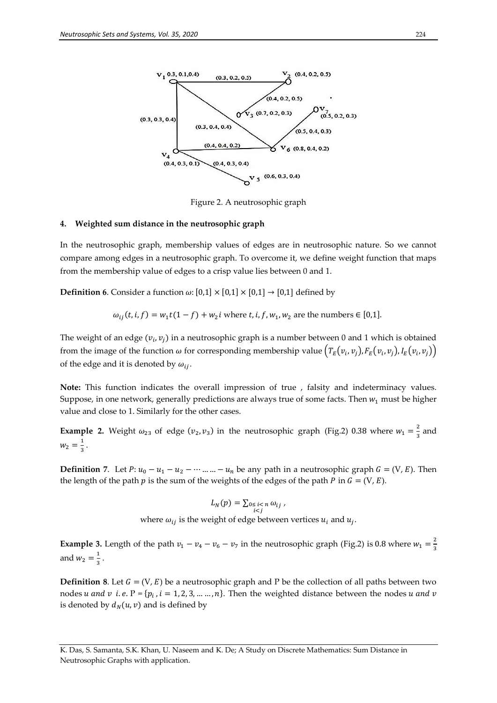

Figure 2. A neutrosophic graph

#### **4. Weighted sum distance in the neutrosophic graph**

In the neutrosophic graph, membership values of edges are in neutrosophic nature. So we cannot compare among edges in a neutrosophic graph. To overcome it, we define weight function that maps from the membership value of edges to a crisp value lies between 0 and 1.

**Definition 6.** Consider a function  $\omega$ :  $[0,1] \times [0,1] \times [0,1] \rightarrow [0,1]$  defined by

$$
\omega_{ij}(t, i, f) = w_1 t (1 - f) + w_2 i
$$
 where  $t, i, f, w_1, w_2$  are the numbers  $\in [0,1]$ .

The weight of an edge  $(v_i, v_j)$  in a neutrosophic graph is a number between 0 and 1 which is obtained from the image of the function  $\omega$  for corresponding membership value  $(T_E(v_i, v_j), F_E(v_i, v_j), I_E(v_i, v_j))$ of the edge and it is denoted by  $\omega_{ii}$ .

**Note:** This function indicates the overall impression of true , falsity and indeterminacy values. Suppose, in one network, generally predictions are always true of some facts. Then  $w_1$  must be higher value and close to 1. Similarly for the other cases.

**Example 2.** Weight  $\omega_{23}$  of edge  $(v_2, v_3)$  in the neutrosophic graph (Fig.2) 0.38 where  $w_1 = \frac{2}{3}$  $rac{2}{3}$  and  $W_2 = \frac{1}{2}$  $\frac{1}{3}$ .

**Definition** 7. Let  $P: u_0 - u_1 - u_2 - \cdots - u_n$  be any path in a neutrosophic graph  $G = (V, E)$ . Then the length of the path p is the sum of the weights of the edges of the path P in  $G = (V, E)$ .

$$
L_N(p) = \sum_{\substack{0 \le i < n \\ i < j}} \omega_{ij},
$$

where  $\omega_{ij}$  is the weight of edge between vertices  $u_i$  and  $u_j$ .

**Example 3.** Length of the path  $v_1 - v_4 - v_6 - v_7$  in the neutrosophic graph (Fig.2) is 0.8 where  $w_1 = \frac{2}{3}$ 3 and  $w_2 = \frac{1}{2}$  $\frac{1}{3}$ .

**Definition** 8. Let  $G = (V, E)$  be a neutrosophic graph and P be the collection of all paths between two nodes *u* and *v* i.e.  $P = \{p_i, i = 1, 2, 3, ..., n\}$ . Then the weighted distance between the nodes is denoted by  $d_N(u, v)$  and is defined by

K. Das, S. Samanta, S.K. Khan, U. Naseem and K. De; A Study on Discrete Mathematics: Sum Distance in Neutrosophic Graphs with application.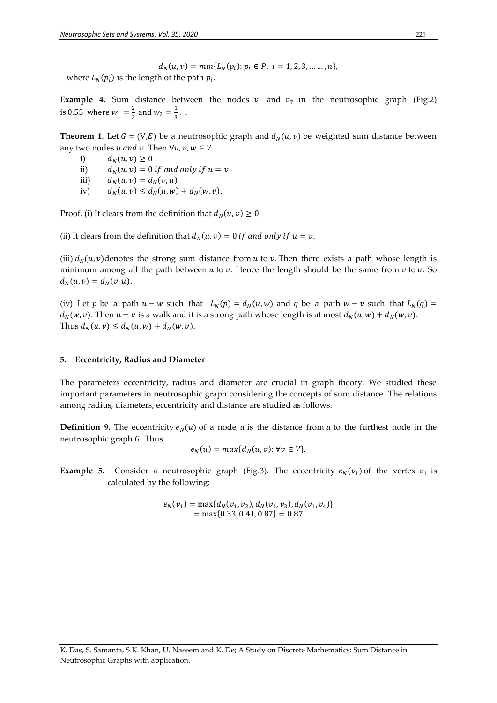$d_N(u, v) = min\{L_N(p_i): p_i \in P, i = 1, 2, 3, \dots, n\},\$ where  $L_N(p_i)$  is the length of the path  $p_i$ .

**Example 4.** Sum distance between the nodes  $v_1$  and  $v_7$  in the neutrosophic graph (Fig.2) is 0.55 where  $w_1 = \frac{2}{3}$  $\frac{2}{3}$  and  $w_2 = \frac{1}{3}$  $\frac{1}{3}$ .

**Theorem 1.** Let  $G = (V, E)$  be a neutrosophic graph and  $d<sub>N</sub>(u, v)$  be weighted sum distance between any two nodes u and v. Then  $\forall u, v, w \in V$ 

- i)  $d_N(u, v) \geq 0$
- ii)  $d_N(u, v) = 0$  if and only if  $u = v$
- iii)  $d_N(u, v) = d_N(v, u)$
- iv)  $d_N(u, v) \le d_N(u, w) + d_N(w, v).$

Proof. (i) It clears from the definition that  $d_N(u, v) \geq 0$ .

(ii) It clears from the definition that  $d_N(u, v) = 0$  if and only if  $u = v$ .

(iii)  $d_N(u, v)$  denotes the strong sum distance from u to v. Then there exists a path whose length is minimum among all the path between u to v. Hence the length should be the same from v to u. So  $d_N(u, v) = d_N(v, u).$ 

(iv) Let p be a path  $u - w$  such that  $L_N(p) = d_N(u, w)$  and q be a path  $w - v$  such that  $L_N(q) =$  $d_N(w, v)$ . Then  $u - v$  is a walk and it is a strong path whose length is at most  $d_N(u, w) + d_N(w, v)$ . Thus  $d_N(u, v) \le d_N(u, w) + d_N(w, v)$ .

#### **5. Eccentricity, Radius and Diameter**

The parameters eccentricity, radius and diameter are crucial in graph theory. We studied these important parameters in neutrosophic graph considering the concepts of sum distance. The relations among radius, diameters, eccentricity and distance are studied as follows.

**Definition** 9. The eccentricity  $e_N(u)$  of a node, u is the distance from u to the furthest node in the neutrosophic graph  $G$ . Thus

$$
e_N(u) = \max\{d_N(u, v): \forall v \in V\}.
$$

**Example 5.** Consider a neutrosophic graph (Fig.3). The eccentricity  $e_N(v_1)$  of the vertex  $v_1$  is calculated by the following:

$$
e_N(v_1) = \max\{d_N(v_1, v_2), d_N(v_1, v_3), d_N(v_1, v_4)\}
$$
  
= max{0.33, 0.41, 0.87} = 0.87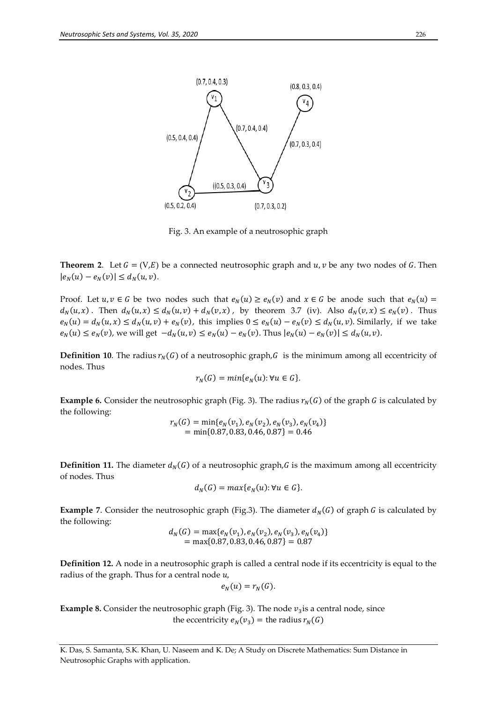

Fig. 3. An example of a neutrosophic graph

**Theorem 2.** Let  $G = (V, E)$  be a connected neutrosophic graph and  $u, v$  be any two nodes of G. Then  $|e_N(u) - e_N(v)| \le d_N(u, v).$ 

Proof. Let  $u, v \in G$  be two nodes such that  $e_N(u) \ge e_N(v)$  and  $x \in G$  be anode such that  $e_N(u)$  $d_N(u,x)$ . Then  $d_N(u,x) \leq d_N(u,v) + d_N(v,x)$ , by theorem 3.7 (iv). Also  $d_N(v,x) \leq e_N(v)$ . Thus  $e_N(u) = d_N(u, x) \le d_N(u, v) + e_N(v)$ , this implies  $0 \le e_N(u) - e_N(v) \le d_N(u, v)$ . Similarly, if we take  $e_N(u) \le e_N(v)$ , we will get  $-d_N(u, v) \le e_N(u) - e_N(v)$ . Thus  $|e_N(u) - e_N(v)| \le d_N(u, v)$ .

**Definition 10**. The radius  $r_N(G)$  of a neutrosophic graph, G is the minimum among all eccentricity of nodes. Thus

$$
r_N(G) = min\{e_N(u): \forall u \in G\}.
$$

**Example 6.** Consider the neutrosophic graph (Fig. 3). The radius  $r_N(G)$  of the graph G is calculated by the following:

$$
r_N(G) = \min\{e_N(v_1), e_N(v_2), e_N(v_3), e_N(v_4)\}
$$
  
= min{0.87, 0.83, 0.46, 0.87} = 0.46

**Definition 11.** The diameter  $d_N(G)$  of a neutrosophic graph, G is the maximum among all eccentricity of nodes. Thus

$$
d_N(G) = \max\{e_N(u): \forall u \in G\}.
$$

**Example** 7. Consider the neutrosophic graph (Fig.3). The diameter  $d_N(G)$  of graph G is calculated by the following:

$$
d_N(G) = \max\{e_N(v_1), e_N(v_2), e_N(v_3), e_N(v_4)\}
$$
  
= max{0.87, 0.83, 0.46, 0.87} = 0.87

**Definition 12.** A node in a neutrosophic graph is called a central node if its eccentricity is equal to the radius of the graph. Thus for a central node  $u$ ,

$$
e_N(u)=r_N(G).
$$

**Example 8.** Consider the neutrosophic graph (Fig. 3). The node  $v_3$  is a central node, since the eccentricity  $e_N(v_3)$  = the radius  $r_N(G)$ 

K. Das, S. Samanta, S.K. Khan, U. Naseem and K. De; A Study on Discrete Mathematics: Sum Distance in Neutrosophic Graphs with application.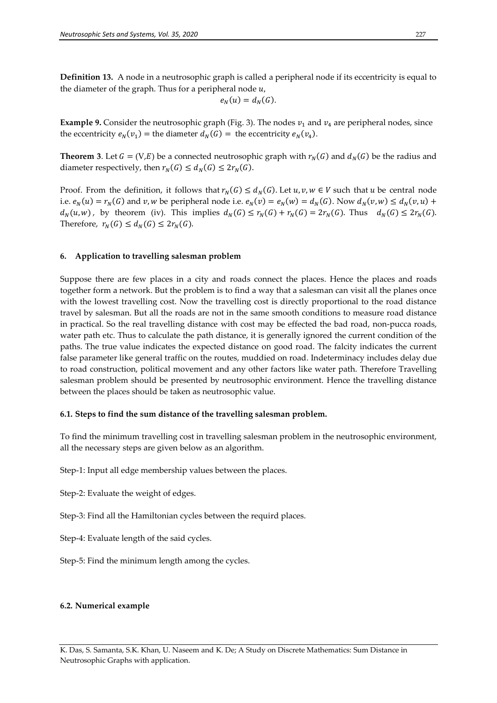**Definition 13.** A node in a neutrosophic graph is called a peripheral node if its eccentricity is equal to the diameter of the graph. Thus for a peripheral node  $u$ ,

$$
e_N(u) = d_N(G).
$$

**Example 9.** Consider the neutrosophic graph (Fig. 3). The nodes  $v_1$  and  $v_4$  are peripheral nodes, since the eccentricity  $e_N(v_1)$  = the diameter  $d_N(G)$  = the eccentricity  $e_N(v_4)$ .

**Theorem 3**. Let  $G = (V, E)$  be a connected neutrosophic graph with  $r_N(G)$  and  $d_N(G)$  be the radius and diameter respectively, then  $r_N(G) \le d_N(G) \le 2r_N(G)$ .

Proof. From the definition, it follows that  $r_N(G) \le d_N(G)$ . Let  $u, v, w \in V$  such that u be central node i.e.  $e_N(u) = r_N(G)$  and v, w be peripheral node i.e.  $e_N(v) = e_N(w) = d_N(G)$ . Now  $d_N(v, w) \le d_N(v, u) +$  $d_N(u, w)$ , by theorem (iv). This implies  $d_N(G) \le r_N(G) + r_N(G) = 2r_N(G)$ . Thus  $d_N(G) \le 2r_N(G)$ . Therefore,  $r_N(G) \le d_N(G) \le 2r_N(G)$ .

#### **6. Application to travelling salesman problem**

Suppose there are few places in a city and roads connect the places. Hence the places and roads together form a network. But the problem is to find a way that a salesman can visit all the planes once with the lowest travelling cost. Now the travelling cost is directly proportional to the road distance travel by salesman. But all the roads are not in the same smooth conditions to measure road distance in practical. So the real travelling distance with cost may be effected the bad road, non-pucca roads, water path etc. Thus to calculate the path distance, it is generally ignored the current condition of the paths. The true value indicates the expected distance on good road. The falcity indicates the current false parameter like general traffic on the routes, muddied on road. Indeterminacy includes delay due to road construction, political movement and any other factors like water path. Therefore Travelling salesman problem should be presented by neutrosophic environment. Hence the travelling distance between the places should be taken as neutrosophic value.

#### **6.1. Steps to find the sum distance of the travelling salesman problem.**

To find the minimum travelling cost in travelling salesman problem in the neutrosophic environment, all the necessary steps are given below as an algorithm.

Step-1: Input all edge membership values between the places.

Step-2: Evaluate the weight of edges.

Step-3: Find all the Hamiltonian cycles between the requird places.

Step-4: Evaluate length of the said cycles.

Step-5: Find the minimum length among the cycles.

#### **6.2. Numerical example**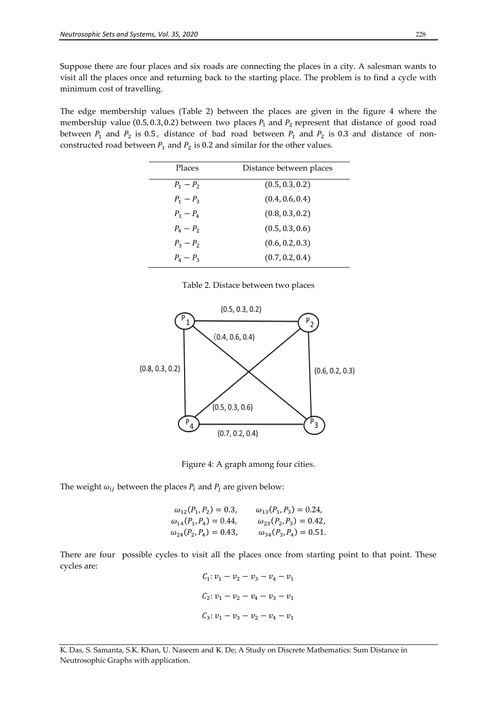Suppose there are four places and six roads are connecting the places in a city. A salesman wants to visit all the places once and returning back to the starting place. The problem is to find a cycle with minimum cost of travelling.

The edge membership values (Table 2) between the places are given in the figure 4 where the membership value (0.5, 0.3, 0.2) between two places  $P_1$  and  $P_2$  represent that distance of good road between  $P_1$  and  $P_2$  is 0.5, distance of bad road between  $P_1$  and  $P_2$  is 0.3 and distance of nonconstructed road between  $P_1$  and  $P_2$  is 0.2 and similar for the other values.

| Places          | Distance between places |
|-----------------|-------------------------|
| $P_1 - P_2$     | (0.5, 0.3, 0.2)         |
| $P_1 - P_2$     | (0.4, 0.6, 0.4)         |
| $P_1 - P_4$     | (0.8, 0.3, 0.2)         |
| $P_A - P_2$     | (0.5, 0.3, 0.6)         |
| $P_3 - P_2$     | (0.6, 0.2, 0.3)         |
| $P_{4} - P_{2}$ | (0.7, 0.2, 0.4)         |

Table 2. Distace between two places



Figure 4: A graph among four cities.

The weight  $\omega_{ij}$  between the places  $P_i$  and  $P_j$  are given below:

| $\omega_{12}(P_1, P_2) = 0.3$ , | $\omega_{13}(P_1, P_3) = 0.24,$ |
|---------------------------------|---------------------------------|
| $\omega_{14}(P_1, P_4) = 0.44,$ | $\omega_{23}(P_2, P_3) = 0.42,$ |
| $\omega_{24}(P_2, P_4) = 0.43,$ | $\omega_{34}(P_3, P_4) = 0.51.$ |

There are four possible cycles to visit all the places once from starting point to that point. These cycles are:

$$
C_1: v_1 - v_2 - v_3 - v_4 - v_1
$$
  

$$
C_2: v_1 - v_2 - v_4 - v_3 - v_1
$$
  

$$
C_3: v_1 - v_3 - v_2 - v_4 - v_1
$$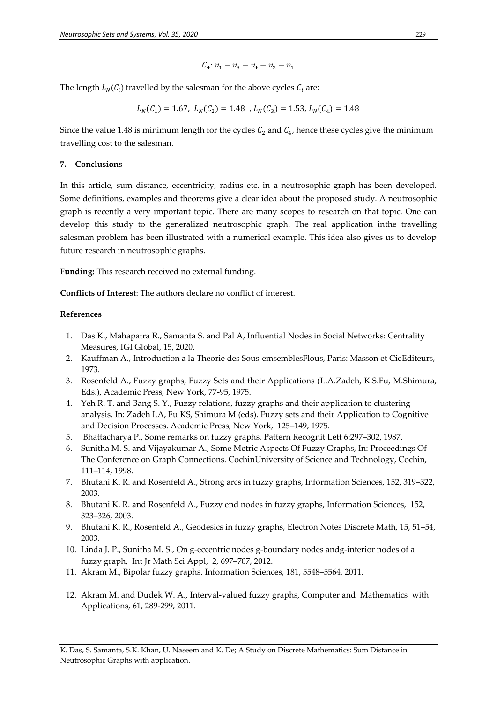$$
C_4: v_1 - v_3 - v_4 - v_2 - v_1
$$

The length  $L_N(C_i)$  travelled by the salesman for the above cycles  $C_i$  are:

$$
L_N(C_1) = 1.67, L_N(C_2) = 1.48, L_N(C_3) = 1.53, L_N(C_4) = 1.48
$$

Since the value 1.48 is minimum length for the cycles  $C_2$  and  $C_4$ , hence these cycles give the minimum travelling cost to the salesman.

### **7. Conclusions**

In this article, sum distance, eccentricity, radius etc. in a neutrosophic graph has been developed. Some definitions, examples and theorems give a clear idea about the proposed study. A neutrosophic graph is recently a very important topic. There are many scopes to research on that topic. One can develop this study to the generalized neutrosophic graph. The real application inthe travelling salesman problem has been illustrated with a numerical example. This idea also gives us to develop future research in neutrosophic graphs.

**Funding:** This research received no external funding.

**Conflicts of Interest**: The authors declare no conflict of interest.

## **References**

- 1. Das K., Mahapatra R., Samanta S. and Pal A, Influential Nodes in Social Networks: Centrality Measures, IGI Global, 15, 2020.
- 2. Kauffman A., Introduction a la Theorie des Sous-emsemblesFlous, Paris: Masson et CieEditeurs, 1973.
- 3. Rosenfeld A., Fuzzy graphs, Fuzzy Sets and their Applications (L.A.Zadeh, K.S.Fu, M.Shimura, Eds.), Academic Press, New York, 77-95, 1975.
- 4. Yeh R. T. and Bang S. Y., Fuzzy relations, fuzzy graphs and their application to clustering analysis. In: Zadeh LA, Fu KS, Shimura M (eds). Fuzzy sets and their Application to Cognitive and Decision Processes. Academic Press, New York, 125–149, 1975.
- 5. Bhattacharya P., Some remarks on fuzzy graphs, Pattern Recognit Lett 6:297–302, 1987.
- 6. Sunitha M. S. and Vijayakumar A., Some Metric Aspects Of Fuzzy Graphs, In: Proceedings Of The Conference on Graph Connections. CochinUniversity of Science and Technology, Cochin, 111–114, 1998.
- 7. Bhutani K. R. and Rosenfeld A., Strong arcs in fuzzy graphs, Information Sciences, 152, 319–322, 2003.
- 8. Bhutani K. R. and Rosenfeld A., Fuzzy end nodes in fuzzy graphs, Information Sciences, 152, 323–326, 2003.
- 9. Bhutani K. R., Rosenfeld A., Geodesics in fuzzy graphs, Electron Notes Discrete Math, 15, 51–54, 2003.
- 10. Linda J. P., Sunitha M. S., On g-eccentric nodes g-boundary nodes andg-interior nodes of a fuzzy graph, Int Jr Math Sci Appl, 2, 697–707, 2012.
- 11. Akram M., Bipolar fuzzy graphs. Information Sciences, 181, 5548–5564, 2011.
- 12. Akram M. and Dudek W. A., Interval-valued fuzzy graphs, Computer and Mathematics with Applications, 61, 289-299, 2011.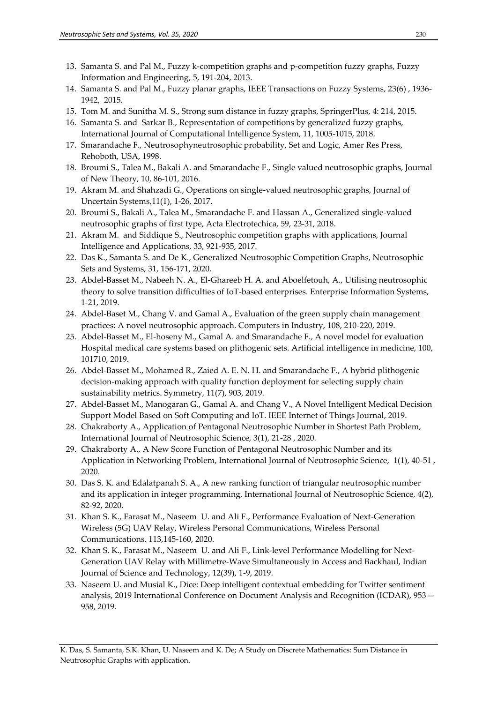- 13. Samanta S. and Pal M., Fuzzy k-competition graphs and p-competition fuzzy graphs, Fuzzy Information and Engineering, 5, 191-204, 2013.
- 14. Samanta S. and Pal M., Fuzzy planar graphs, IEEE Transactions on Fuzzy Systems, 23(6) , 1936- 1942, 2015.
- 15. Tom M. and Sunitha M. S., Strong sum distance in fuzzy graphs, SpringerPlus, 4: 214, 2015.
- 16. Samanta S. and Sarkar B., Representation of competitions by generalized fuzzy graphs, International Journal of Computational Intelligence System, 11, 1005-1015, 2018.
- 17. Smarandache F., Neutrosophyneutrosophic probability, Set and Logic, Amer Res Press, Rehoboth, USA, 1998.
- 18. Broumi S., Talea M., Bakali A. and Smarandache F., Single valued neutrosophic graphs, Journal of New Theory, 10, 86-101, 2016.
- 19. Akram M. and Shahzadi G., Operations on single-valued neutrosophic graphs, Journal of Uncertain Systems,11(1), 1-26, 2017.
- 20. Broumi S., Bakali A., Talea M., Smarandache F. and Hassan A., Generalized single-valued neutrosophic graphs of first type, Acta Electrotechica, 59, 23-31, 2018.
- 21. Akram M. and Siddique S., Neutrosophic competition graphs with applications, Journal Intelligence and Applications, 33, 921-935, 2017.
- 22. Das K., Samanta S. and De K., Generalized Neutrosophic Competition Graphs, Neutrosophic Sets and Systems, 31, 156-171, 2020.
- 23. Abdel-Basset M., Nabeeh N. A., El-Ghareeb H. A. and Aboelfetouh, A., Utilising neutrosophic theory to solve transition difficulties of IoT-based enterprises. Enterprise Information Systems, 1-21, 2019.
- 24. Abdel-Baset M., Chang V. and Gamal A., Evaluation of the green supply chain management practices: A novel neutrosophic approach. Computers in Industry, 108, 210-220, 2019.
- 25. Abdel-Basset M., El-hoseny M., Gamal A. and Smarandache F., A novel model for evaluation Hospital medical care systems based on plithogenic sets. Artificial intelligence in medicine, 100, 101710, 2019.
- 26. Abdel-Basset M., Mohamed R., Zaied A. E. N. H. and Smarandache F., A hybrid plithogenic decision-making approach with quality function deployment for selecting supply chain sustainability metrics. Symmetry, 11(7), 903, 2019.
- 27. Abdel-Basset M., Manogaran G., Gamal A. and Chang V., A Novel Intelligent Medical Decision Support Model Based on Soft Computing and IoT. IEEE Internet of Things Journal, 2019.
- 28. Chakraborty A., Application of Pentagonal Neutrosophic Number in Shortest Path Problem, International Journal of Neutrosophic Science, 3(1), 21-28 , 2020.
- 29. Chakraborty A., A New Score Function of Pentagonal Neutrosophic Number and its Application in Networking Problem, International Journal of Neutrosophic Science, 1(1), 40-51 , 2020.
- 30. Das S. K. and Edalatpanah S. A., A new ranking function of triangular neutrosophic number and its application in integer programming, International Journal of Neutrosophic Science, 4(2), 82-92, 2020.
- 31. Khan S. K., Farasat M., Naseem U. and Ali F., Performance Evaluation of Next-Generation Wireless (5G) UAV Relay, Wireless Personal Communications, Wireless Personal Communications, 113,145-160, 2020.
- 32. Khan S. K., Farasat M., Naseem U. and Ali F., Link‐level Performance Modelling for Next-Generation UAV Relay with Millimetre‐Wave Simultaneously in Access and Backhaul, Indian Journal of Science and Technology, 12(39), 1-9, 2019.
- 33. Naseem U. and Musial K., Dice: Deep intelligent contextual embedding for Twitter sentiment analysis, 2019 International Conference on Document Analysis and Recognition (ICDAR), 953— 958, 2019.